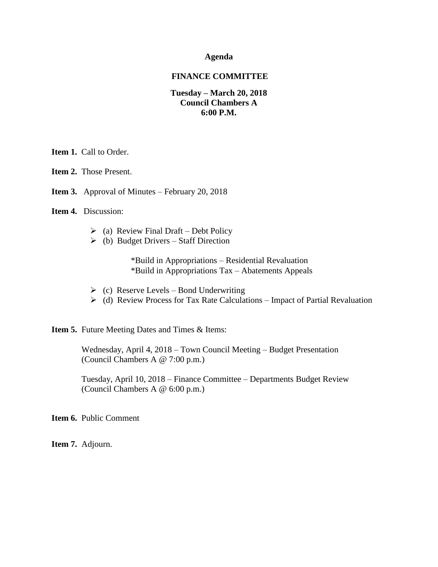#### **Agenda**

#### **FINANCE COMMITTEE**

### **Tuesday – March 20, 2018 Council Chambers A 6:00 P.M.**

**Item 1. Call to Order.** 

**Item 2.** Those Present.

**Item 3.** Approval of Minutes – February 20, 2018

**Item 4.** Discussion:

- $\triangleright$  (a) Review Final Draft Debt Policy
- $\triangleright$  (b) Budget Drivers Staff Direction

\*Build in Appropriations – Residential Revaluation \*Build in Appropriations Tax – Abatements Appeals

- $\triangleright$  (c) Reserve Levels Bond Underwriting
- $\triangleright$  (d) Review Process for Tax Rate Calculations Impact of Partial Revaluation

**Item 5.** Future Meeting Dates and Times & Items:

 Wednesday, April 4, 2018 – Town Council Meeting – Budget Presentation (Council Chambers A @ 7:00 p.m.)

 Tuesday, April 10, 2018 – Finance Committee – Departments Budget Review (Council Chambers A @ 6:00 p.m.)

**Item 6.** Public Comment

**Item 7.** Adjourn.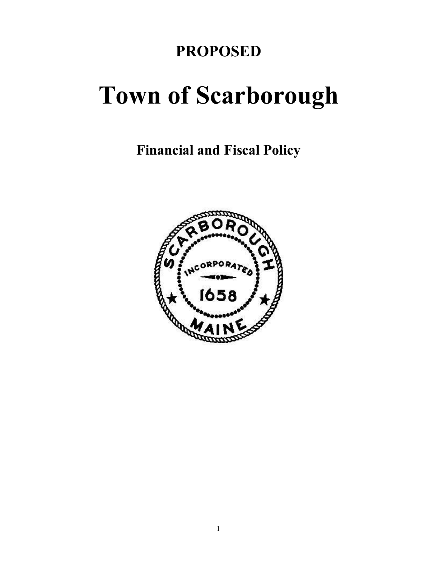## **PROPOSED**

# **Town of Scarborough**

**Financial and Fiscal Policy**

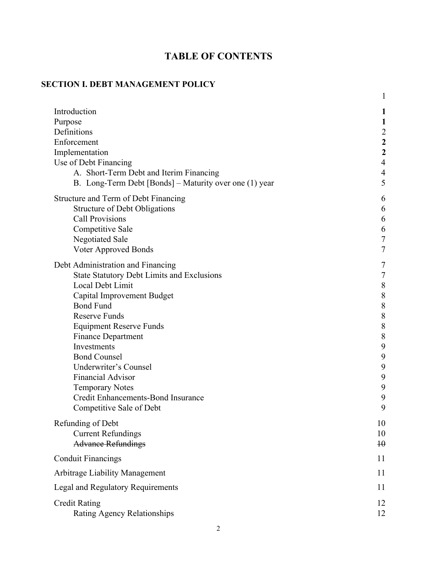### **TABLE OF CONTENTS**

### **SECTION I. DEBT MANAGEMENT POLICY**

|                                                        | 1                       |
|--------------------------------------------------------|-------------------------|
| Introduction                                           | 1                       |
| Purpose                                                | 1                       |
| Definitions                                            | $\overline{c}$          |
| Enforcement                                            | $\overline{\mathbf{c}}$ |
| Implementation                                         | $\overline{2}$          |
| Use of Debt Financing                                  | $\overline{4}$          |
| A. Short-Term Debt and Iterim Financing                | $\overline{4}$          |
| B. Long-Term Debt [Bonds] – Maturity over one (1) year | 5                       |
| Structure and Term of Debt Financing                   | 6                       |
| <b>Structure of Debt Obligations</b>                   | 6                       |
| <b>Call Provisions</b>                                 | 6                       |
| Competitive Sale                                       | 6                       |
| <b>Negotiated Sale</b>                                 | $\overline{7}$          |
| Voter Approved Bonds                                   | 7                       |
| Debt Administration and Financing                      | 7                       |
| <b>State Statutory Debt Limits and Exclusions</b>      | 7                       |
| Local Debt Limit                                       | 8                       |
| Capital Improvement Budget                             | 8                       |
| <b>Bond Fund</b>                                       | 8                       |
| <b>Reserve Funds</b>                                   | 8                       |
| <b>Equipment Reserve Funds</b>                         | $\,8\,$                 |
| <b>Finance Department</b>                              | $\,$ $\,$               |
| Investments                                            | 9                       |
| <b>Bond Counsel</b>                                    | 9                       |
| Underwriter's Counsel                                  | 9                       |
| <b>Financial Advisor</b>                               | 9                       |
| <b>Temporary Notes</b>                                 | 9                       |
| Credit Enhancements-Bond Insurance                     | 9                       |
| Competitive Sale of Debt                               | 9                       |
| Refunding of Debt                                      | 10                      |
| <b>Current Refundings</b>                              | 10                      |
| <b>Advance Refundings</b>                              | $\overline{10}$         |
| <b>Conduit Financings</b>                              | 11                      |
| <b>Arbitrage Liability Management</b>                  | 11                      |
| <b>Legal and Regulatory Requirements</b>               | 11                      |
| <b>Credit Rating</b>                                   | 12                      |
| Rating Agency Relationships                            | 12                      |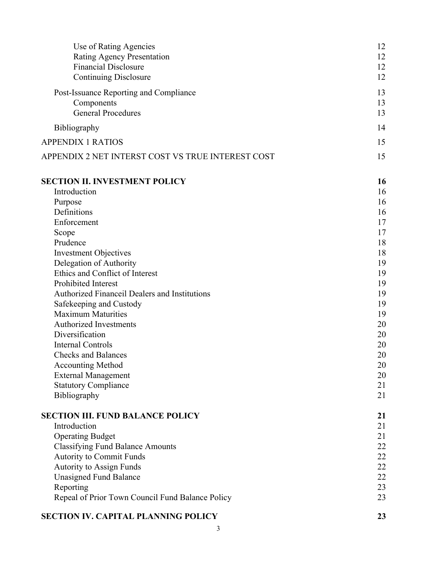| Use of Rating Agencies                            | 12 |
|---------------------------------------------------|----|
| Rating Agency Presentation                        | 12 |
| <b>Financial Disclosure</b>                       | 12 |
| <b>Continuing Disclosure</b>                      | 12 |
| Post-Issuance Reporting and Compliance            | 13 |
| Components                                        | 13 |
| <b>General Procedures</b>                         | 13 |
| Bibliography                                      | 14 |
| <b>APPENDIX 1 RATIOS</b>                          | 15 |
| APPENDIX 2 NET INTERST COST VS TRUE INTEREST COST | 15 |
| <b>SECTION II. INVESTMENT POLICY</b>              | 16 |
| Introduction                                      | 16 |
| Purpose                                           | 16 |
| Definitions                                       | 16 |
| Enforcement                                       | 17 |
| Scope                                             | 17 |
| Prudence                                          | 18 |
| <b>Investment Objectives</b>                      | 18 |
| Delegation of Authority                           | 19 |
| Ethics and Conflict of Interest                   | 19 |
| <b>Prohibited Interest</b>                        | 19 |
| Authorized Financeil Dealers and Institutions     | 19 |
| Safekeeping and Custody                           | 19 |
| <b>Maximum Maturities</b>                         | 19 |
| <b>Authorized Investments</b>                     | 20 |
| Diversification                                   | 20 |
| <b>Internal Controls</b>                          | 20 |
| <b>Checks and Balances</b>                        | 20 |
| <b>Accounting Method</b>                          | 20 |
| <b>External Management</b>                        | 20 |
| <b>Statutory Compliance</b>                       | 21 |
| Bibliography                                      | 21 |
| <b>SECTION III. FUND BALANCE POLICY</b>           | 21 |
| Introduction                                      | 21 |
| <b>Operating Budget</b>                           | 21 |
| <b>Classifying Fund Balance Amounts</b>           | 22 |
| Autority to Commit Funds                          | 22 |
| <b>Autority to Assign Funds</b>                   | 22 |
| <b>Unasigned Fund Balance</b>                     | 22 |
| Reporting                                         | 23 |
| Repeal of Prior Town Council Fund Balance Policy  | 23 |

### **SECTION IV. CAPITAL PLANNING POLICY 23**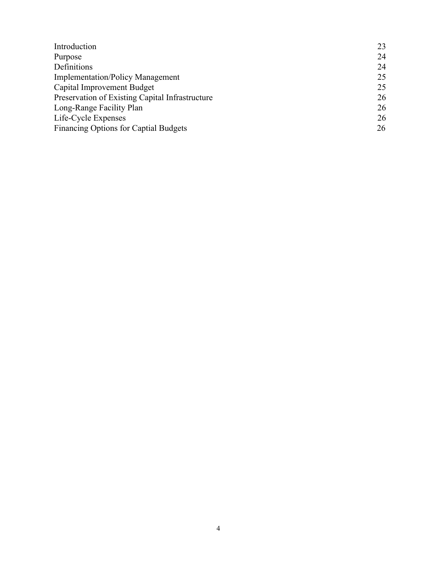| Introduction                                    | 23 |
|-------------------------------------------------|----|
| Purpose                                         | 24 |
| Definitions                                     | 24 |
| <b>Implementation/Policy Management</b>         | 25 |
| Capital Improvement Budget                      | 25 |
| Preservation of Existing Capital Infrastructure | 26 |
| Long-Range Facility Plan                        | 26 |
| Life-Cycle Expenses                             | 26 |
| Financing Options for Captial Budgets           | 26 |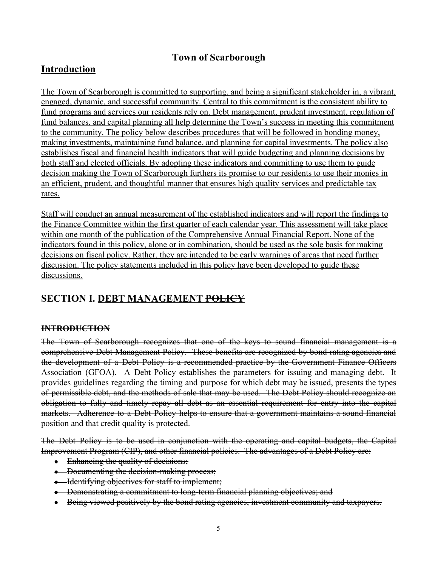### **Town of Scarborough**

### **Introduction**

The Town of Scarborough is committed to supporting, and being a significant stakeholder in, a vibrant, engaged, dynamic, and successful community. Central to this commitment is the consistent ability to fund programs and services our residents rely on. Debt management, prudent investment, regulation of fund balances, and capital planning all help determine the Town's success in meeting this commitment to the community. The policy below describes procedures that will be followed in bonding money, making investments, maintaining fund balance, and planning for capital investments. The policy also establishes fiscal and financial health indicators that will guide budgeting and planning decisions by both staff and elected officials. By adopting these indicators and committing to use them to guide decision making the Town of Scarborough furthers its promise to our residents to use their monies in an efficient, prudent, and thoughtful manner that ensures high quality services and predictable tax rates.

Staff will conduct an annual measurement of the established indicators and will report the findings to the Finance Committee within the first quarter of each calendar year. This assessment will take place within one month of the publication of the Comprehensive Annual Financial Report. None of the indicators found in this policy, alone or in combination, should be used as the sole basis for making decisions on fiscal policy. Rather, they are intended to be early warnings of areas that need further discussion. The policy statements included in this policy have been developed to guide these discussions.

### **SECTION I. DEBT MANAGEMENT POLICY**

### **INTRODUCTION**

The Town of Scarborough recognizes that one of the keys to sound financial management is a comprehensive Debt Management Policy. These benefits are recognized by bond rating agencies and the development of a Debt Policy is a recommended practice by the Government Finance Officers Association (GFOA). A Debt Policy establishes the parameters for issuing and managing debt. It provides guidelines regarding the timing and purpose for which debt may be issued, presents the types of permissible debt, and the methods of sale that may be used. The Debt Policy should recognize an obligation to fully and timely repay all debt as an essential requirement for entry into the capital markets. Adherence to a Debt Policy helps to ensure that a government maintains a sound financial position and that credit quality is protected.

The Debt Policy is to be used in conjunction with the operating and capital budgets, the Capital Improvement Program (CIP), and other financial policies. The advantages of a Debt Policy are:

- Enhancing the quality of decisions;
- Documenting the decision-making process;
- Identifying objectives for staff to implement;
- Demonstrating a commitment to long-term financial planning objectives; and
- Being viewed positively by the bond rating agencies, investment community and taxpayers.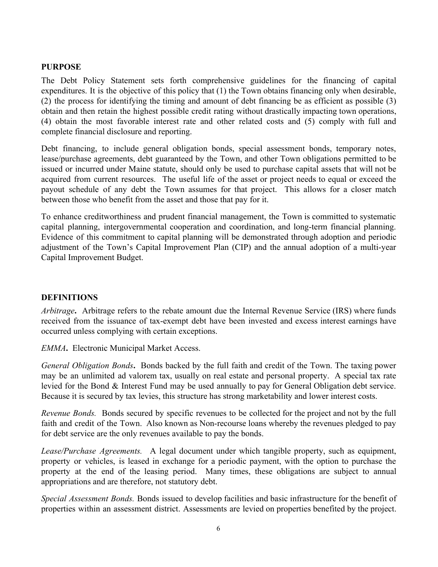### **PURPOSE**

The Debt Policy Statement sets forth comprehensive guidelines for the financing of capital expenditures. It is the objective of this policy that (1) the Town obtains financing only when desirable, (2) the process for identifying the timing and amount of debt financing be as efficient as possible (3) obtain and then retain the highest possible credit rating without drastically impacting town operations, (4) obtain the most favorable interest rate and other related costs and (5) comply with full and complete financial disclosure and reporting.

Debt financing, to include general obligation bonds, special assessment bonds, temporary notes, lease/purchase agreements, debt guaranteed by the Town, and other Town obligations permitted to be issued or incurred under Maine statute, should only be used to purchase capital assets that will not be acquired from current resources. The useful life of the asset or project needs to equal or exceed the payout schedule of any debt the Town assumes for that project. This allows for a closer match between those who benefit from the asset and those that pay for it.

To enhance creditworthiness and prudent financial management, the Town is committed to systematic capital planning, intergovernmental cooperation and coordination, and long-term financial planning. Evidence of this commitment to capital planning will be demonstrated through adoption and periodic adjustment of the Town's Capital Improvement Plan (CIP) and the annual adoption of a multi-year Capital Improvement Budget.

### **DEFINITIONS**

*Arbitrage***.** Arbitrage refers to the rebate amount due the Internal Revenue Service (IRS) where funds received from the issuance of tax-exempt debt have been invested and excess interest earnings have occurred unless complying with certain exceptions.

*EMMA***.** Electronic Municipal Market Access.

*General Obligation Bonds***.** Bonds backed by the full faith and credit of the Town. The taxing power may be an unlimited ad valorem tax, usually on real estate and personal property. A special tax rate levied for the Bond & Interest Fund may be used annually to pay for General Obligation debt service. Because it is secured by tax levies, this structure has strong marketability and lower interest costs.

*Revenue Bonds.* Bonds secured by specific revenues to be collected for the project and not by the full faith and credit of the Town. Also known as Non-recourse loans whereby the revenues pledged to pay for debt service are the only revenues available to pay the bonds.

*Lease/Purchase Agreements.* A legal document under which tangible property, such as equipment, property or vehicles, is leased in exchange for a periodic payment, with the option to purchase the property at the end of the leasing period. Many times, these obligations are subject to annual appropriations and are therefore, not statutory debt.

*Special Assessment Bonds.* Bonds issued to develop facilities and basic infrastructure for the benefit of properties within an assessment district. Assessments are levied on properties benefited by the project.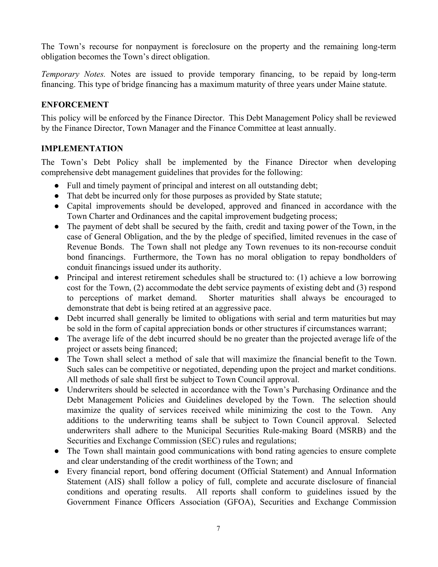The Town's recourse for nonpayment is foreclosure on the property and the remaining long-term obligation becomes the Town's direct obligation.

*Temporary Notes.* Notes are issued to provide temporary financing, to be repaid by long-term financing. This type of bridge financing has a maximum maturity of three years under Maine statute.

### **ENFORCEMENT**

This policy will be enforced by the Finance Director. This Debt Management Policy shall be reviewed by the Finance Director, Town Manager and the Finance Committee at least annually.

### **IMPLEMENTATION**

The Town's Debt Policy shall be implemented by the Finance Director when developing comprehensive debt management guidelines that provides for the following:

- Full and timely payment of principal and interest on all outstanding debt;
- That debt be incurred only for those purposes as provided by State statute;
- Capital improvements should be developed, approved and financed in accordance with the Town Charter and Ordinances and the capital improvement budgeting process;
- The payment of debt shall be secured by the faith, credit and taxing power of the Town, in the case of General Obligation, and the by the pledge of specified, limited revenues in the case of Revenue Bonds. The Town shall not pledge any Town revenues to its non-recourse conduit bond financings. Furthermore, the Town has no moral obligation to repay bondholders of conduit financings issued under its authority.
- Principal and interest retirement schedules shall be structured to: (1) achieve a low borrowing cost for the Town, (2) accommodate the debt service payments of existing debt and (3) respond to perceptions of market demand. Shorter maturities shall always be encouraged to demonstrate that debt is being retired at an aggressive pace.
- Debt incurred shall generally be limited to obligations with serial and term maturities but may be sold in the form of capital appreciation bonds or other structures if circumstances warrant;
- The average life of the debt incurred should be no greater than the projected average life of the project or assets being financed;
- The Town shall select a method of sale that will maximize the financial benefit to the Town. Such sales can be competitive or negotiated, depending upon the project and market conditions. All methods of sale shall first be subject to Town Council approval.
- Underwriters should be selected in accordance with the Town's Purchasing Ordinance and the Debt Management Policies and Guidelines developed by the Town. The selection should maximize the quality of services received while minimizing the cost to the Town. Any additions to the underwriting teams shall be subject to Town Council approval. Selected underwriters shall adhere to the Municipal Securities Rule-making Board (MSRB) and the Securities and Exchange Commission (SEC) rules and regulations;
- The Town shall maintain good communications with bond rating agencies to ensure complete and clear understanding of the credit worthiness of the Town; and
- Every financial report, bond offering document (Official Statement) and Annual Information Statement (AIS) shall follow a policy of full, complete and accurate disclosure of financial conditions and operating results. All reports shall conform to guidelines issued by the Government Finance Officers Association (GFOA), Securities and Exchange Commission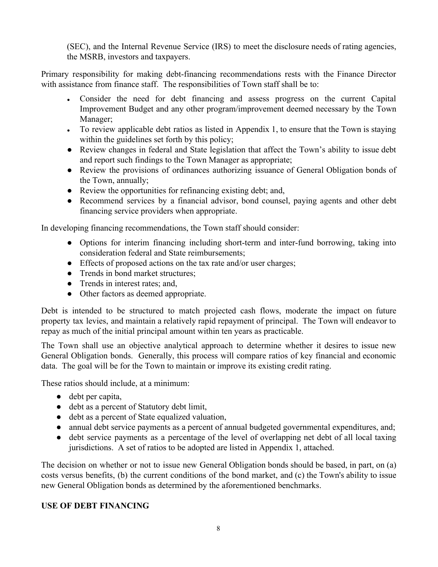(SEC), and the Internal Revenue Service (IRS) to meet the disclosure needs of rating agencies, the MSRB, investors and taxpayers.

Primary responsibility for making debt-financing recommendations rests with the Finance Director with assistance from finance staff. The responsibilities of Town staff shall be to:

- Consider the need for debt financing and assess progress on the current Capital Improvement Budget and any other program/improvement deemed necessary by the Town Manager;
- To review applicable debt ratios as listed in Appendix 1, to ensure that the Town is staying within the guidelines set forth by this policy;
- Review changes in federal and State legislation that affect the Town's ability to issue debt and report such findings to the Town Manager as appropriate;
- Review the provisions of ordinances authorizing issuance of General Obligation bonds of the Town, annually;
- Review the opportunities for refinancing existing debt; and,
- Recommend services by a financial advisor, bond counsel, paying agents and other debt financing service providers when appropriate.

In developing financing recommendations, the Town staff should consider:

- Options for interim financing including short-term and inter-fund borrowing, taking into consideration federal and State reimbursements;
- Effects of proposed actions on the tax rate and/or user charges;
- Trends in bond market structures;
- Trends in interest rates; and,
- Other factors as deemed appropriate.

Debt is intended to be structured to match projected cash flows, moderate the impact on future property tax levies, and maintain a relatively rapid repayment of principal. The Town will endeavor to repay as much of the initial principal amount within ten years as practicable.

The Town shall use an objective analytical approach to determine whether it desires to issue new General Obligation bonds. Generally, this process will compare ratios of key financial and economic data. The goal will be for the Town to maintain or improve its existing credit rating.

These ratios should include, at a minimum:

- debt per capita,
- debt as a percent of Statutory debt limit,
- debt as a percent of State equalized valuation,
- annual debt service payments as a percent of annual budgeted governmental expenditures, and;
- debt service payments as a percentage of the level of overlapping net debt of all local taxing jurisdictions. A set of ratios to be adopted are listed in Appendix 1, attached.

The decision on whether or not to issue new General Obligation bonds should be based, in part, on (a) costs versus benefits, (b) the current conditions of the bond market, and (c) the Town's ability to issue new General Obligation bonds as determined by the aforementioned benchmarks.

### **USE OF DEBT FINANCING**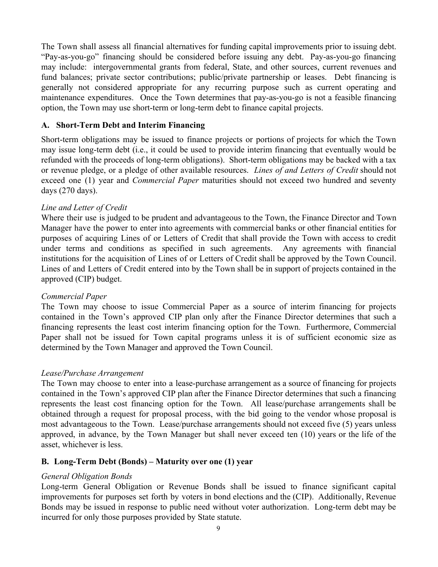The Town shall assess all financial alternatives for funding capital improvements prior to issuing debt. "Pay-as-you-go" financing should be considered before issuing any debt. Pay-as-you-go financing may include: intergovernmental grants from federal, State, and other sources, current revenues and fund balances; private sector contributions; public/private partnership or leases. Debt financing is generally not considered appropriate for any recurring purpose such as current operating and maintenance expenditures. Once the Town determines that pay-as-you-go is not a feasible financing option, the Town may use short-term or long-term debt to finance capital projects.

### **A. Short-Term Debt and Interim Financing**

Short-term obligations may be issued to finance projects or portions of projects for which the Town may issue long-term debt (i.e., it could be used to provide interim financing that eventually would be refunded with the proceeds of long-term obligations). Short-term obligations may be backed with a tax or revenue pledge, or a pledge of other available resources. *Lines of and Letters of Credit* should not exceed one (1) year and *Commercial Paper* maturities should not exceed two hundred and seventy days (270 days).

### *Line and Letter of Credit*

Where their use is judged to be prudent and advantageous to the Town, the Finance Director and Town Manager have the power to enter into agreements with commercial banks or other financial entities for purposes of acquiring Lines of or Letters of Credit that shall provide the Town with access to credit under terms and conditions as specified in such agreements. Any agreements with financial institutions for the acquisition of Lines of or Letters of Credit shall be approved by the Town Council. Lines of and Letters of Credit entered into by the Town shall be in support of projects contained in the approved (CIP) budget.

### *Commercial Paper*

The Town may choose to issue Commercial Paper as a source of interim financing for projects contained in the Town's approved CIP plan only after the Finance Director determines that such a financing represents the least cost interim financing option for the Town. Furthermore, Commercial Paper shall not be issued for Town capital programs unless it is of sufficient economic size as determined by the Town Manager and approved the Town Council.

### *Lease/Purchase Arrangement*

The Town may choose to enter into a lease-purchase arrangement as a source of financing for projects contained in the Town's approved CIP plan after the Finance Director determines that such a financing represents the least cost financing option for the Town. All lease/purchase arrangements shall be obtained through a request for proposal process, with the bid going to the vendor whose proposal is most advantageous to the Town. Lease/purchase arrangements should not exceed five (5) years unless approved, in advance, by the Town Manager but shall never exceed ten (10) years or the life of the asset, whichever is less.

### **B. Long-Term Debt (Bonds) – Maturity over one (1) year**

### *General Obligation Bonds*

Long-term General Obligation or Revenue Bonds shall be issued to finance significant capital improvements for purposes set forth by voters in bond elections and the (CIP). Additionally, Revenue Bonds may be issued in response to public need without voter authorization. Long-term debt may be incurred for only those purposes provided by State statute.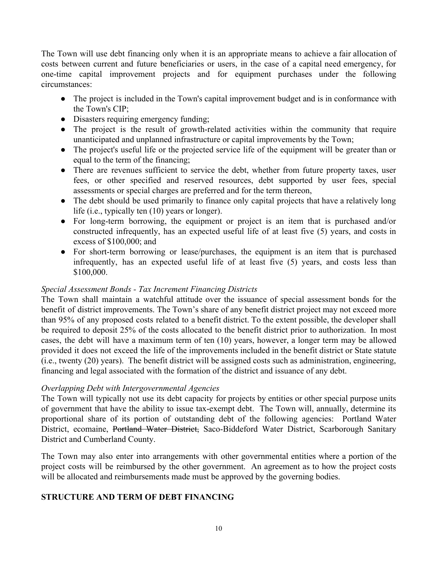The Town will use debt financing only when it is an appropriate means to achieve a fair allocation of costs between current and future beneficiaries or users, in the case of a capital need emergency, for one-time capital improvement projects and for equipment purchases under the following circumstances:

- The project is included in the Town's capital improvement budget and is in conformance with the Town's CIP;
- Disasters requiring emergency funding;
- The project is the result of growth-related activities within the community that require unanticipated and unplanned infrastructure or capital improvements by the Town;
- The project's useful life or the projected service life of the equipment will be greater than or equal to the term of the financing;
- There are revenues sufficient to service the debt, whether from future property taxes, user fees, or other specified and reserved resources, debt supported by user fees, special assessments or special charges are preferred and for the term thereon,
- The debt should be used primarily to finance only capital projects that have a relatively long life (i.e., typically ten (10) years or longer).
- For long-term borrowing, the equipment or project is an item that is purchased and/or constructed infrequently, has an expected useful life of at least five (5) years, and costs in excess of \$100,000; and
- For short-term borrowing or lease/purchases, the equipment is an item that is purchased infrequently, has an expected useful life of at least five (5) years, and costs less than \$100,000.

### *Special Assessment Bonds - Tax Increment Financing Districts*

The Town shall maintain a watchful attitude over the issuance of special assessment bonds for the benefit of district improvements. The Town's share of any benefit district project may not exceed more than 95% of any proposed costs related to a benefit district. To the extent possible, the developer shall be required to deposit 25% of the costs allocated to the benefit district prior to authorization. In most cases, the debt will have a maximum term of ten (10) years, however, a longer term may be allowed provided it does not exceed the life of the improvements included in the benefit district or State statute (i.e., twenty (20) years). The benefit district will be assigned costs such as administration, engineering, financing and legal associated with the formation of the district and issuance of any debt.

### *Overlapping Debt with Intergovernmental Agencies*

The Town will typically not use its debt capacity for projects by entities or other special purpose units of government that have the ability to issue tax-exempt debt. The Town will, annually, determine its proportional share of its portion of outstanding debt of the following agencies: Portland Water District, ecomaine, Portland Water District, Saco-Biddeford Water District, Scarborough Sanitary District and Cumberland County.

The Town may also enter into arrangements with other governmental entities where a portion of the project costs will be reimbursed by the other government. An agreement as to how the project costs will be allocated and reimbursements made must be approved by the governing bodies.

### **STRUCTURE AND TERM OF DEBT FINANCING**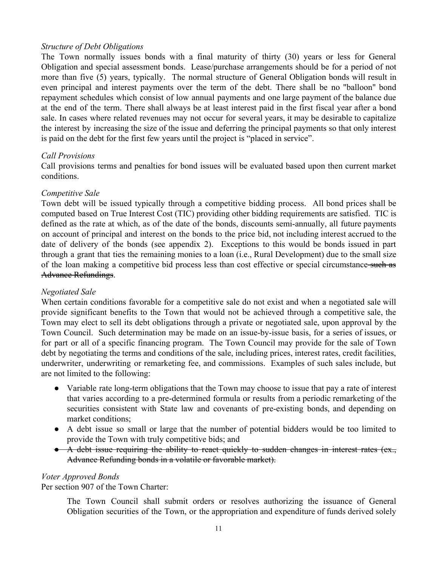### *Structure of Debt Obligations*

The Town normally issues bonds with a final maturity of thirty (30) years or less for General Obligation and special assessment bonds. Lease/purchase arrangements should be for a period of not more than five (5) years, typically. The normal structure of General Obligation bonds will result in even principal and interest payments over the term of the debt. There shall be no "balloon" bond repayment schedules which consist of low annual payments and one large payment of the balance due at the end of the term. There shall always be at least interest paid in the first fiscal year after a bond sale. In cases where related revenues may not occur for several years, it may be desirable to capitalize the interest by increasing the size of the issue and deferring the principal payments so that only interest is paid on the debt for the first few years until the project is "placed in service".

### *Call Provisions*

Call provisions terms and penalties for bond issues will be evaluated based upon then current market conditions.

### *Competitive Sale*

Town debt will be issued typically through a competitive bidding process. All bond prices shall be computed based on True Interest Cost (TIC) providing other bidding requirements are satisfied. TIC is defined as the rate at which, as of the date of the bonds, discounts semi-annually, all future payments on account of principal and interest on the bonds to the price bid, not including interest accrued to the date of delivery of the bonds (see appendix 2). Exceptions to this would be bonds issued in part through a grant that ties the remaining monies to a loan (i.e., Rural Development) due to the small size of the loan making a competitive bid process less than cost effective or special circumstance such as Advance Refundings.

### *Negotiated Sale*

When certain conditions favorable for a competitive sale do not exist and when a negotiated sale will provide significant benefits to the Town that would not be achieved through a competitive sale, the Town may elect to sell its debt obligations through a private or negotiated sale, upon approval by the Town Council. Such determination may be made on an issue-by-issue basis, for a series of issues, or for part or all of a specific financing program. The Town Council may provide for the sale of Town debt by negotiating the terms and conditions of the sale, including prices, interest rates, credit facilities, underwriter, underwriting or remarketing fee, and commissions. Examples of such sales include, but are not limited to the following:

- Variable rate long-term obligations that the Town may choose to issue that pay a rate of interest that varies according to a pre-determined formula or results from a periodic remarketing of the securities consistent with State law and covenants of pre-existing bonds, and depending on market conditions;
- A debt issue so small or large that the number of potential bidders would be too limited to provide the Town with truly competitive bids; and
- A debt issue requiring the ability to react quickly to sudden changes in interest rates (ex., Advance Refunding bonds in a volatile or favorable market).

### *Voter Approved Bonds*

Per section 907 of the Town Charter:

The Town Council shall submit orders or resolves authorizing the issuance of General Obligation securities of the Town, or the appropriation and expenditure of funds derived solely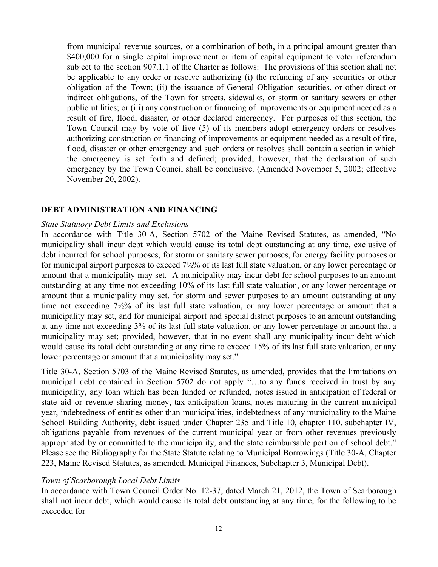from municipal revenue sources, or a combination of both, in a principal amount greater than \$400,000 for a single capital improvement or item of capital equipment to voter referendum subject to the section 907.1.1 of the Charter as follows: The provisions of this section shall not be applicable to any order or resolve authorizing (i) the refunding of any securities or other obligation of the Town; (ii) the issuance of General Obligation securities, or other direct or indirect obligations, of the Town for streets, sidewalks, or storm or sanitary sewers or other public utilities; or (iii) any construction or financing of improvements or equipment needed as a result of fire, flood, disaster, or other declared emergency. For purposes of this section, the Town Council may by vote of five (5) of its members adopt emergency orders or resolves authorizing construction or financing of improvements or equipment needed as a result of fire, flood, disaster or other emergency and such orders or resolves shall contain a section in which the emergency is set forth and defined; provided, however, that the declaration of such emergency by the Town Council shall be conclusive. (Amended November 5, 2002; effective November 20, 2002).

### **DEBT ADMINISTRATION AND FINANCING**

#### *State Statutory Debt Limits and Exclusions*

In accordance with Title 30-A, Section 5702 of the Maine Revised Statutes, as amended, "No municipality shall incur debt which would cause its total debt outstanding at any time, exclusive of debt incurred for school purposes, for storm or sanitary sewer purposes, for energy facility purposes or for municipal airport purposes to exceed 7½% of its last full state valuation, or any lower percentage or amount that a municipality may set. A municipality may incur debt for school purposes to an amount outstanding at any time not exceeding 10% of its last full state valuation, or any lower percentage or amount that a municipality may set, for storm and sewer purposes to an amount outstanding at any time not exceeding 7½% of its last full state valuation, or any lower percentage or amount that a municipality may set, and for municipal airport and special district purposes to an amount outstanding at any time not exceeding 3% of its last full state valuation, or any lower percentage or amount that a municipality may set; provided, however, that in no event shall any municipality incur debt which would cause its total debt outstanding at any time to exceed 15% of its last full state valuation, or any lower percentage or amount that a municipality may set."

Title 30-A, Section 5703 of the Maine Revised Statutes, as amended, provides that the limitations on municipal debt contained in Section 5702 do not apply "…to any funds received in trust by any municipality, any loan which has been funded or refunded, notes issued in anticipation of federal or state aid or revenue sharing money, tax anticipation loans, notes maturing in the current municipal year, indebtedness of entities other than municipalities, indebtedness of any municipality to the Maine School Building Authority, debt issued under Chapter 235 and Title 10, chapter 110, subchapter IV, obligations payable from revenues of the current municipal year or from other revenues previously appropriated by or committed to the municipality, and the state reimbursable portion of school debt." Please see the Bibliography for the State Statute relating to Municipal Borrowings (Title 30-A, Chapter 223, Maine Revised Statutes, as amended, Municipal Finances, Subchapter 3, Municipal Debt).

### *Town of Scarborough Local Debt Limits*

In accordance with Town Council Order No. 12-37, dated March 21, 2012, the Town of Scarborough shall not incur debt, which would cause its total debt outstanding at any time, for the following to be exceeded for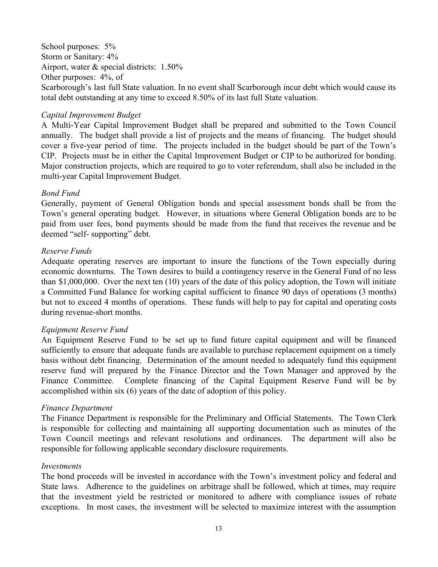School purposes:  $5%$ Storm or Sanitary: 4% Airport, water & special districts: 1.50% Other purposes: 4%, of Scarborough's last full State valuation. In no event shall Scarborough incur debt which would cause its total debt outstanding at any time to exceed 8.50% of its last full State valuation.

#### *Capital Improvement Budget*

A Multi-Year Capital Improvement Budget shall be prepared and submitted to the Town Council annually. The budget shall provide a list of projects and the means of financing. The budget should cover a five-year period of time. The projects included in the budget should be part of the Town's CIP. Projects must be in either the Capital Improvement Budget or CIP to be authorized for bonding. Major construction projects, which are required to go to voter referendum, shall also be included in the multi-year Capital Improvement Budget.

### *Bond Fund*

Generally, payment of General Obligation bonds and special assessment bonds shall be from the Town's general operating budget. However, in situations where General Obligation bonds are to be paid from user fees, bond payments should be made from the fund that receives the revenue and be deemed "self- supporting" debt.

#### *Reserve Funds*

Adequate operating reserves are important to insure the functions of the Town especially during economic downturns. The Town desires to build a contingency reserve in the General Fund of no less than \$1,000,000. Over the next ten (10) years of the date of this policy adoption, the Town will initiate a Committed Fund Balance for working capital sufficient to finance 90 days of operations (3 months) but not to exceed 4 months of operations. These funds will help to pay for capital and operating costs during revenue-short months.

### *Equipment Reserve Fund*

An Equipment Reserve Fund to be set up to fund future capital equipment and will be financed sufficiently to ensure that adequate funds are available to purchase replacement equipment on a timely basis without debt financing. Determination of the amount needed to adequately fund this equipment reserve fund will prepared by the Finance Director and the Town Manager and approved by the Finance Committee. Complete financing of the Capital Equipment Reserve Fund will be by accomplished within six (6) years of the date of adoption of this policy.

#### *Finance Department*

The Finance Department is responsible for the Preliminary and Official Statements. The Town Clerk is responsible for collecting and maintaining all supporting documentation such as minutes of the Town Council meetings and relevant resolutions and ordinances. The department will also be responsible for following applicable secondary disclosure requirements.

#### *Investments*

The bond proceeds will be invested in accordance with the Town's investment policy and federal and State laws. Adherence to the guidelines on arbitrage shall be followed, which at times, may require that the investment yield be restricted or monitored to adhere with compliance issues of rebate exceptions. In most cases, the investment will be selected to maximize interest with the assumption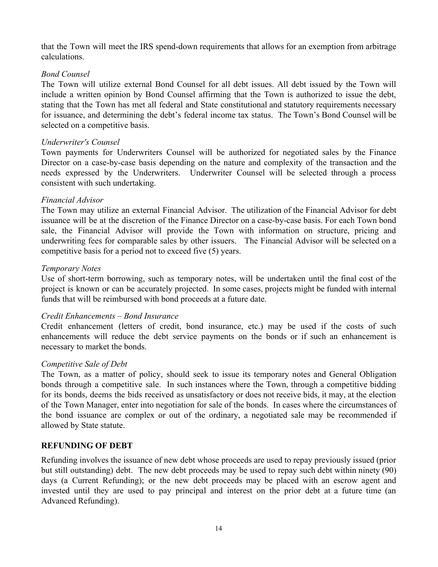that the Town will meet the IRS spend-down requirements that allows for an exemption from arbitrage calculations.

### *Bond Counsel*

The Town will utilize external Bond Counsel for all debt issues. All debt issued by the Town will include a written opinion by Bond Counsel affirming that the Town is authorized to issue the debt, stating that the Town has met all federal and State constitutional and statutory requirements necessary for issuance, and determining the debt's federal income tax status. The Town's Bond Counsel will be selected on a competitive basis.

### *Underwriter's Counsel*

Town payments for Underwriters Counsel will be authorized for negotiated sales by the Finance Director on a case-by-case basis depending on the nature and complexity of the transaction and the needs expressed by the Underwriters. Underwriter Counsel will be selected through a process consistent with such undertaking.

### *Financial Advisor*

The Town may utilize an external Financial Advisor. The utilization of the Financial Advisor for debt issuance will be at the discretion of the Finance Director on a case-by-case basis. For each Town bond sale, the Financial Advisor will provide the Town with information on structure, pricing and underwriting fees for comparable sales by other issuers. The Financial Advisor will be selected on a competitive basis for a period not to exceed five (5) years.

### *Temporary Notes*

Use of short-term borrowing, such as temporary notes, will be undertaken until the final cost of the project is known or can be accurately projected. In some cases, projects might be funded with internal funds that will be reimbursed with bond proceeds at a future date.

### *Credit Enhancements – Bond Insurance*

Credit enhancement (letters of credit, bond insurance, etc.) may be used if the costs of such enhancements will reduce the debt service payments on the bonds or if such an enhancement is necessary to market the bonds.

### *Competitive Sale of Debt*

The Town, as a matter of policy, should seek to issue its temporary notes and General Obligation bonds through a competitive sale. In such instances where the Town, through a competitive bidding for its bonds, deems the bids received as unsatisfactory or does not receive bids, it may, at the election of the Town Manager, enter into negotiation for sale of the bonds. In cases where the circumstances of the bond issuance are complex or out of the ordinary, a negotiated sale may be recommended if allowed by State statute.

### **REFUNDING OF DEBT**

Refunding involves the issuance of new debt whose proceeds are used to repay previously issued (prior but still outstanding) debt. The new debt proceeds may be used to repay such debt within ninety (90) days (a Current Refunding); or the new debt proceeds may be placed with an escrow agent and invested until they are used to pay principal and interest on the prior debt at a future time (an Advanced Refunding).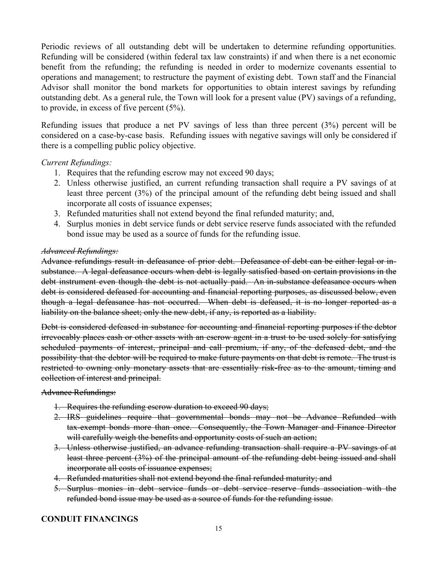Periodic reviews of all outstanding debt will be undertaken to determine refunding opportunities. Refunding will be considered (within federal tax law constraints) if and when there is a net economic benefit from the refunding; the refunding is needed in order to modernize covenants essential to operations and management; to restructure the payment of existing debt. Town staff and the Financial Advisor shall monitor the bond markets for opportunities to obtain interest savings by refunding outstanding debt. As a general rule, the Town will look for a present value (PV) savings of a refunding, to provide, in excess of five percent (5%).

Refunding issues that produce a net PV savings of less than three percent (3%) percent will be considered on a case-by-case basis. Refunding issues with negative savings will only be considered if there is a compelling public policy objective.

### *Current Refundings:*

- 1. Requires that the refunding escrow may not exceed 90 days;
- 2. Unless otherwise justified, an current refunding transaction shall require a PV savings of at least three percent (3%) of the principal amount of the refunding debt being issued and shall incorporate all costs of issuance expenses;
- 3. Refunded maturities shall not extend beyond the final refunded maturity; and,
- 4. Surplus monies in debt service funds or debt service reserve funds associated with the refunded bond issue may be used as a source of funds for the refunding issue.

### *Advanced Refundings:*

Advance refundings result in defeasance of prior debt. Defeasance of debt can be either legal or insubstance. A legal defeasance occurs when debt is legally satisfied based on certain provisions in the debt instrument even though the debt is not actually paid. An in-substance defeasance occurs when debt is considered defeased for accounting and financial reporting purposes, as discussed below, even though a legal defeasance has not occurred. When debt is defeased, it is no longer reported as a liability on the balance sheet; only the new debt, if any, is reported as a liability.

Debt is considered defeased in substance for accounting and financial reporting purposes if the debtor irrevocably places cash or other assets with an escrow agent in a trust to be used solely for satisfying scheduled payments of interest, principal and call premium, if any, of the defeased debt, and the possibility that the debtor will be required to make future payments on that debt is remote. The trust is restricted to owning only monetary assets that are essentially risk-free as to the amount, timing and collection of interest and principal.

Advance Refundings:

- 1. Requires the refunding escrow duration to exceed 90 days;
- 2. IRS guidelines require that governmental bonds may not be Advance Refunded with tax-exempt bonds more than once. Consequently, the Town Manager and Finance Director will carefully weigh the benefits and opportunity costs of such an action;
- 3. Unless otherwise justified, an advance refunding transaction shall require a PV savings of at least three percent (3%) of the principal amount of the refunding debt being issued and shall incorporate all costs of issuance expenses;
- 4. Refunded maturities shall not extend beyond the final refunded maturity; and
- 5. Surplus monies in debt service funds or debt service reserve funds association with the refunded bond issue may be used as a source of funds for the refunding issue.

### **CONDUIT FINANCINGS**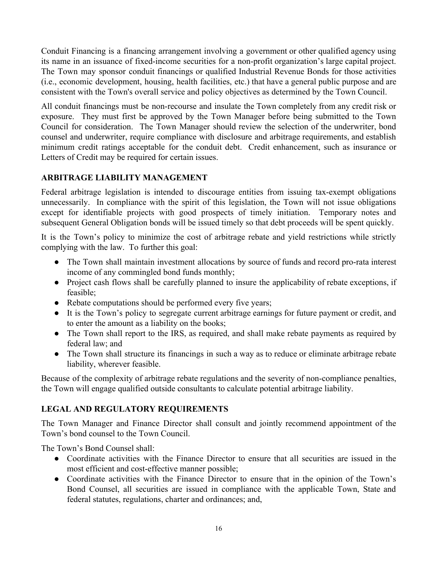Conduit Financing is a financing arrangement involving a government or other qualified agency using its name in an issuance of fixed-income securities for a non-profit organization's large capital project. The Town may sponsor conduit financings or qualified Industrial Revenue Bonds for those activities (i.e., economic development, housing, health facilities, etc.) that have a general public purpose and are consistent with the Town's overall service and policy objectives as determined by the Town Council.

All conduit financings must be non-recourse and insulate the Town completely from any credit risk or exposure. They must first be approved by the Town Manager before being submitted to the Town Council for consideration. The Town Manager should review the selection of the underwriter, bond counsel and underwriter, require compliance with disclosure and arbitrage requirements, and establish minimum credit ratings acceptable for the conduit debt. Credit enhancement, such as insurance or Letters of Credit may be required for certain issues.

### **ARBITRAGE LIABILITY MANAGEMENT**

Federal arbitrage legislation is intended to discourage entities from issuing tax-exempt obligations unnecessarily. In compliance with the spirit of this legislation, the Town will not issue obligations except for identifiable projects with good prospects of timely initiation. Temporary notes and subsequent General Obligation bonds will be issued timely so that debt proceeds will be spent quickly.

It is the Town's policy to minimize the cost of arbitrage rebate and yield restrictions while strictly complying with the law. To further this goal:

- The Town shall maintain investment allocations by source of funds and record pro-rata interest income of any commingled bond funds monthly;
- Project cash flows shall be carefully planned to insure the applicability of rebate exceptions, if feasible;
- Rebate computations should be performed every five years;
- It is the Town's policy to segregate current arbitrage earnings for future payment or credit, and to enter the amount as a liability on the books;
- The Town shall report to the IRS, as required, and shall make rebate payments as required by federal law; and
- The Town shall structure its financings in such a way as to reduce or eliminate arbitrage rebate liability, wherever feasible.

Because of the complexity of arbitrage rebate regulations and the severity of non-compliance penalties, the Town will engage qualified outside consultants to calculate potential arbitrage liability.

### **LEGAL AND REGULATORY REQUIREMENTS**

The Town Manager and Finance Director shall consult and jointly recommend appointment of the Town's bond counsel to the Town Council.

The Town's Bond Counsel shall:

- Coordinate activities with the Finance Director to ensure that all securities are issued in the most efficient and cost-effective manner possible;
- Coordinate activities with the Finance Director to ensure that in the opinion of the Town's Bond Counsel, all securities are issued in compliance with the applicable Town, State and federal statutes, regulations, charter and ordinances; and,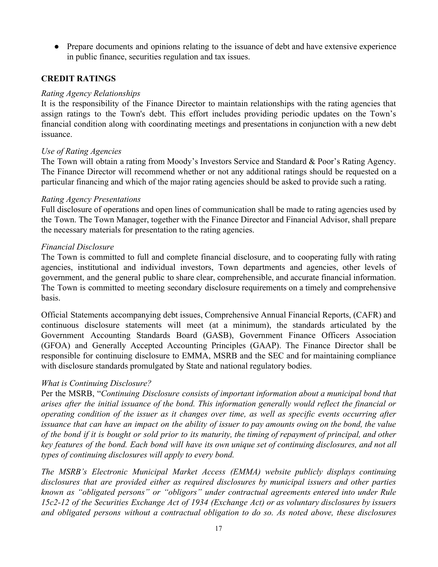● Prepare documents and opinions relating to the issuance of debt and have extensive experience in public finance, securities regulation and tax issues.

### **CREDIT RATINGS**

### *Rating Agency Relationships*

It is the responsibility of the Finance Director to maintain relationships with the rating agencies that assign ratings to the Town's debt. This effort includes providing periodic updates on the Town's financial condition along with coordinating meetings and presentations in conjunction with a new debt issuance.

### *Use of Rating Agencies*

The Town will obtain a rating from Moody's Investors Service and Standard & Poor's Rating Agency. The Finance Director will recommend whether or not any additional ratings should be requested on a particular financing and which of the major rating agencies should be asked to provide such a rating.

### *Rating Agency Presentations*

Full disclosure of operations and open lines of communication shall be made to rating agencies used by the Town. The Town Manager, together with the Finance Director and Financial Advisor, shall prepare the necessary materials for presentation to the rating agencies.

### *Financial Disclosure*

The Town is committed to full and complete financial disclosure, and to cooperating fully with rating agencies, institutional and individual investors, Town departments and agencies, other levels of government, and the general public to share clear, comprehensible, and accurate financial information. The Town is committed to meeting secondary disclosure requirements on a timely and comprehensive basis.

Official Statements accompanying debt issues, Comprehensive Annual Financial Reports, (CAFR) and continuous disclosure statements will meet (at a minimum), the standards articulated by the Government Accounting Standards Board (GASB), Government Finance Officers Association (GFOA) and Generally Accepted Accounting Principles (GAAP). The Finance Director shall be responsible for continuing disclosure to EMMA, MSRB and the SEC and for maintaining compliance with disclosure standards promulgated by State and national regulatory bodies.

### *What is Continuing Disclosure?*

Per the MSRB, "*Continuing Disclosure consists of important information about a municipal bond that arises after the initial issuance of the bond. This information generally would reflect the financial or operating condition of the issuer as it changes over time, as well as specific events occurring after* issuance that can have an impact on the ability of issuer to pay amounts owing on the bond, the value of the bond if it is bought or sold prior to its maturity, the timing of repayment of principal, and other key features of the bond. Each bond will have its own unique set of continuing disclosures, and not all *types of continuing disclosures will apply to every bond.*

*The MSRB's Electronic Municipal Market Access (EMMA) website publicly displays continuing disclosures that are provided either as required disclosures by municipal issuers and other parties known as "obligated persons" or "obligors" under contractual agreements entered into under Rule 15c2-12 of the Securities Exchange Act of 1934 (Exchange Act) or as voluntary disclosures by issuers and obligated persons without a contractual obligation to do so. As noted above, these disclosures*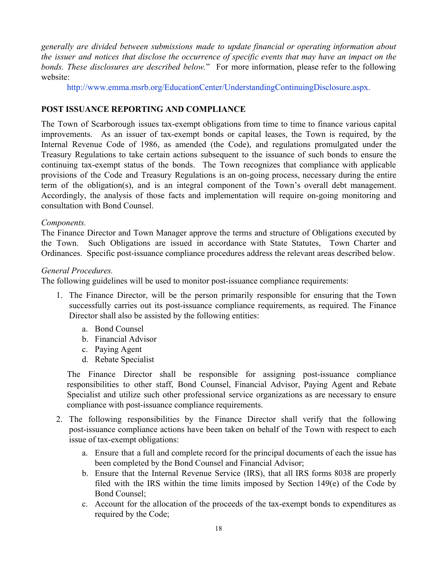*generally are divided between submissions made to update financial or operating information about* the issuer and notices that disclose the occurrence of specific events that may have an impact on the *bonds. These disclosures are described below.*" For more information, please refer to the following website:

http://www.emma.msrb.org/EducationCenter/UnderstandingContinuingDisclosure.aspx.

### **POST ISSUANCE REPORTING AND COMPLIANCE**

The Town of Scarborough issues tax-exempt obligations from time to time to finance various capital improvements. As an issuer of tax-exempt bonds or capital leases, the Town is required, by the Internal Revenue Code of 1986, as amended (the Code), and regulations promulgated under the Treasury Regulations to take certain actions subsequent to the issuance of such bonds to ensure the continuing tax-exempt status of the bonds. The Town recognizes that compliance with applicable provisions of the Code and Treasury Regulations is an on-going process, necessary during the entire term of the obligation(s), and is an integral component of the Town's overall debt management. Accordingly, the analysis of those facts and implementation will require on-going monitoring and consultation with Bond Counsel.

### *Components.*

The Finance Director and Town Manager approve the terms and structure of Obligations executed by the Town. Such Obligations are issued in accordance with State Statutes, Town Charter and Ordinances. Specific post-issuance compliance procedures address the relevant areas described below.

### *General Procedures.*

The following guidelines will be used to monitor post-issuance compliance requirements:

- 1. The Finance Director, will be the person primarily responsible for ensuring that the Town successfully carries out its post-issuance compliance requirements, as required. The Finance Director shall also be assisted by the following entities:
	- a. Bond Counsel
	- b. Financial Advisor
	- c. Paying Agent
	- d. Rebate Specialist

The Finance Director shall be responsible for assigning post-issuance compliance responsibilities to other staff, Bond Counsel, Financial Advisor, Paying Agent and Rebate Specialist and utilize such other professional service organizations as are necessary to ensure compliance with post-issuance compliance requirements.

- 2. The following responsibilities by the Finance Director shall verify that the following post-issuance compliance actions have been taken on behalf of the Town with respect to each issue of tax-exempt obligations:
	- a. Ensure that a full and complete record for the principal documents of each the issue has been completed by the Bond Counsel and Financial Advisor;
	- b. Ensure that the Internal Revenue Service (IRS), that all IRS forms 8038 are properly filed with the IRS within the time limits imposed by Section 149(e) of the Code by Bond Counsel;
	- c. Account for the allocation of the proceeds of the tax-exempt bonds to expenditures as required by the Code;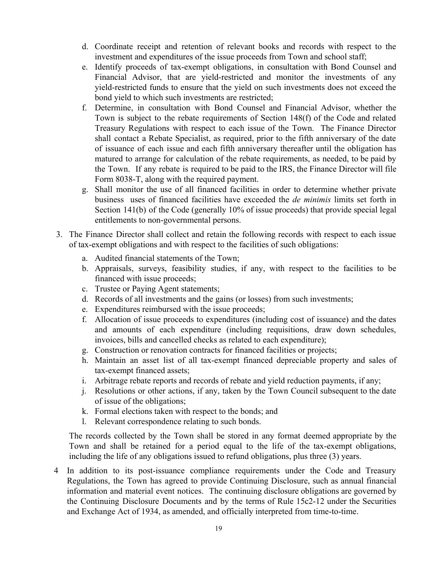- d. Coordinate receipt and retention of relevant books and records with respect to the investment and expenditures of the issue proceeds from Town and school staff;
- e. Identify proceeds of tax-exempt obligations, in consultation with Bond Counsel and Financial Advisor, that are yield-restricted and monitor the investments of any yield-restricted funds to ensure that the yield on such investments does not exceed the bond yield to which such investments are restricted;
- f. Determine, in consultation with Bond Counsel and Financial Advisor, whether the Town is subject to the rebate requirements of Section 148(f) of the Code and related Treasury Regulations with respect to each issue of the Town. The Finance Director shall contact a Rebate Specialist, as required, prior to the fifth anniversary of the date of issuance of each issue and each fifth anniversary thereafter until the obligation has matured to arrange for calculation of the rebate requirements, as needed, to be paid by the Town. If any rebate is required to be paid to the IRS, the Finance Director will file Form 8038-T, along with the required payment.
- g. Shall monitor the use of all financed facilities in order to determine whether private business uses of financed facilities have exceeded the *de minimis* limits set forth in Section 141(b) of the Code (generally 10% of issue proceeds) that provide special legal entitlements to non-governmental persons.
- 3. The Finance Director shall collect and retain the following records with respect to each issue of tax-exempt obligations and with respect to the facilities of such obligations:
	- a. Audited financial statements of the Town;
	- b. Appraisals, surveys, feasibility studies, if any, with respect to the facilities to be financed with issue proceeds;
	- c. Trustee or Paying Agent statements;
	- d. Records of all investments and the gains (or losses) from such investments;
	- e. Expenditures reimbursed with the issue proceeds;
	- f. Allocation of issue proceeds to expenditures (including cost of issuance) and the dates and amounts of each expenditure (including requisitions, draw down schedules, invoices, bills and cancelled checks as related to each expenditure);
	- g. Construction or renovation contracts for financed facilities or projects;
	- h. Maintain an asset list of all tax-exempt financed depreciable property and sales of tax-exempt financed assets;
	- i. Arbitrage rebate reports and records of rebate and yield reduction payments, if any;
	- j. Resolutions or other actions, if any, taken by the Town Council subsequent to the date of issue of the obligations;
	- k. Formal elections taken with respect to the bonds; and
	- l. Relevant correspondence relating to such bonds.

The records collected by the Town shall be stored in any format deemed appropriate by the Town and shall be retained for a period equal to the life of the tax-exempt obligations, including the life of any obligations issued to refund obligations, plus three (3) years.

4 In addition to its post-issuance compliance requirements under the Code and Treasury Regulations, the Town has agreed to provide Continuing Disclosure, such as annual financial information and material event notices. The continuing disclosure obligations are governed by the Continuing Disclosure Documents and by the terms of Rule 15c2-12 under the Securities and Exchange Act of 1934, as amended, and officially interpreted from time-to-time.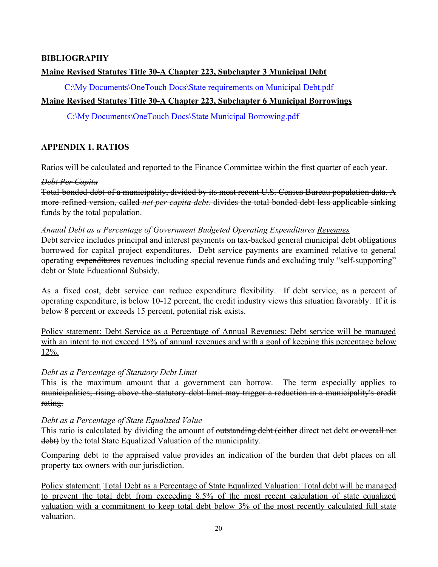### **BIBLIOGRAPHY**

### **Maine Revised Statutes Title 30-A Chapter 223, Subchapter 3 Municipal Debt**

C:\My Documents\OneTouch Docs\State requirements on Municipal Debt.pdf

### **Maine Revised Statutes Title 30-A Chapter 223, Subchapter 6 Municipal Borrowings**

C:\My Documents\OneTouch Docs\State Municipal Borrowing.pdf

### **APPENDIX 1. RATIOS**

Ratios will be calculated and reported to the Finance Committee within the first quarter of each year.

### *Debt Per Capita*

Total bonded debt of a municipality, divided by its most recent U.S. Census Bureau population data. A more refined version, called *net per capita debt,* divides the total bonded debt less applicable sinking funds by the total population.

*Annual Debt as a Percentage of Government Budgeted Operating Expenditures Revenues* Debt service includes principal and interest payments on tax-backed general municipal debt obligations borrowed for capital project expenditures. Debt service payments are examined relative to general operating expenditures revenues including special revenue funds and excluding truly "self-supporting" debt or State Educational Subsidy.

As a fixed cost, debt service can reduce expenditure flexibility. If debt service, as a percent of operating expenditure, is below 10-12 percent, the credit industry views this situation favorably. If it is below 8 percent or exceeds 15 percent, potential risk exists.

Policy statement: Debt Service as a Percentage of Annual Revenues: Debt service will be managed with an intent to not exceed 15% of annual revenues and with a goal of keeping this percentage below 12%.

### *Debt as a Percentage of Statutory Debt Limit*

This is the maximum amount that a government can borrow. The term especially applies to municipalities; rising above the statutory debt limit may trigger a reduction in a municipality's credit rating.

### *Debt as a Percentage of State Equalized Value*

This ratio is calculated by dividing the amount of <del>outstanding debt (either</del> direct net debt or overall net debt) by the total State Equalized Valuation of the municipality.

Comparing debt to the appraised value provides an indication of the burden that debt places on all property tax owners with our jurisdiction.

Policy statement: Total Debt as a Percentage of State Equalized Valuation: Total debt will be managed to prevent the total debt from exceeding 8.5% of the most recent calculation of state equalized valuation with a commitment to keep total debt below 3% of the most recently calculated full state valuation.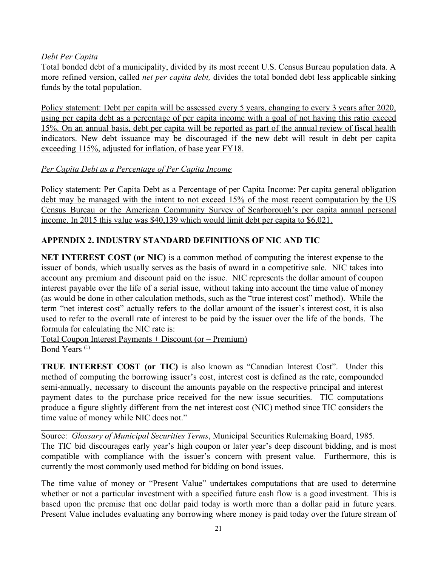### *Debt Per Capita*

Total bonded debt of a municipality, divided by its most recent U.S. Census Bureau population data. A more refined version, called *net per capita debt,* divides the total bonded debt less applicable sinking funds by the total population.

Policy statement: Debt per capita will be assessed every 5 years, changing to every 3 years after 2020, using per capita debt as a percentage of per capita income with a goal of not having this ratio exceed 15%. On an annual basis, debt per capita will be reported as part of the annual review of fiscal health indicators. New debt issuance may be discouraged if the new debt will result in debt per capita exceeding 115%, adjusted for inflation, of base year FY18.

### *Per Capita Debt as a Percentage of Per Capita Income*

Policy statement: Per Capita Debt as a Percentage of per Capita Income: Per capita general obligation debt may be managed with the intent to not exceed 15% of the most recent computation by the US Census Bureau or the American Community Survey of Scarborough's per capita annual personal income. In 2015 this value was \$40,139 which would limit debt per capita to \$6,021.

### **APPENDIX 2. INDUSTRY STANDARD DEFINITIONS OF NIC AND TIC**

**NET INTEREST COST (or NIC)** is a common method of computing the interest expense to the issuer of bonds, which usually serves as the basis of award in a competitive sale. NIC takes into account any premium and discount paid on the issue. NIC represents the dollar amount of coupon interest payable over the life of a serial issue, without taking into account the time value of money (as would be done in other calculation methods, such as the "true interest cost" method). While the term "net interest cost" actually refers to the dollar amount of the issuer's interest cost, it is also used to refer to the overall rate of interest to be paid by the issuer over the life of the bonds. The formula for calculating the NIC rate is:

Total Coupon Interest Payments + Discount (or – Premium) Bond Years (1)

**TRUE INTEREST COST (or TIC)** is also known as "Canadian Interest Cost". Under this method of computing the borrowing issuer's cost, interest cost is defined as the rate, compounded semi-annually, necessary to discount the amounts payable on the respective principal and interest payment dates to the purchase price received for the new issue securities. TIC computations produce a figure slightly different from the net interest cost (NIC) method since TIC considers the time value of money while NIC does not."

Source: *Glossary of Municipal Securities Terms*, Municipal Securities Rulemaking Board, 1985. The TIC bid discourages early year's high coupon or later year's deep discount bidding, and is most compatible with compliance with the issuer's concern with present value. Furthermore, this is currently the most commonly used method for bidding on bond issues.

The time value of money or "Present Value" undertakes computations that are used to determine whether or not a particular investment with a specified future cash flow is a good investment. This is based upon the premise that one dollar paid today is worth more than a dollar paid in future years. Present Value includes evaluating any borrowing where money is paid today over the future stream of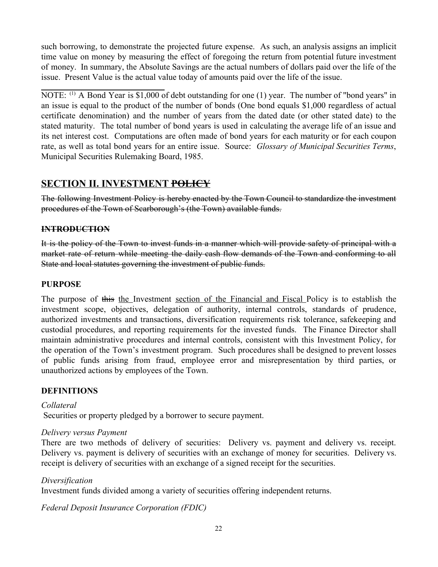such borrowing, to demonstrate the projected future expense. As such, an analysis assigns an implicit time value on money by measuring the effect of foregoing the return from potential future investment of money. In summary, the Absolute Savings are the actual numbers of dollars paid over the life of the issue. Present Value is the actual value today of amounts paid over the life of the issue.

NOTE: <sup>(1)</sup> A Bond Year is \$1,000 of debt outstanding for one (1) year. The number of "bond years" in an issue is equal to the product of the number of bonds (One bond equals \$1,000 regardless of actual certificate denomination) and the number of years from the dated date (or other stated date) to the stated maturity. The total number of bond years is used in calculating the average life of an issue and its net interest cost. Computations are often made of bond years for each maturity or for each coupon rate, as well as total bond years for an entire issue. Source: *Glossary of Municipal Securities Terms*, Municipal Securities Rulemaking Board, 1985.

### **SECTION II. INVESTMENT POLICY**

The following Investment Policy is hereby enacted by the Town Council to standardize the investment procedures of the Town of Scarborough's (the Town) available funds.

### **INTRODUCTION**

It is the policy of the Town to invest funds in a manner which will provide safety of principal with a market rate of return while meeting the daily cash flow demands of the Town and conforming to all State and local statutes governing the investment of public funds.

### **PURPOSE**

The purpose of this the Investment section of the Financial and Fiscal Policy is to establish the investment scope, objectives, delegation of authority, internal controls, standards of prudence, authorized investments and transactions, diversification requirements risk tolerance, safekeeping and custodial procedures, and reporting requirements for the invested funds. The Finance Director shall maintain administrative procedures and internal controls, consistent with this Investment Policy, for the operation of the Town's investment program. Such procedures shall be designed to prevent losses of public funds arising from fraud, employee error and misrepresentation by third parties, or unauthorized actions by employees of the Town.

### **DEFINITIONS**

### *Collateral*

Securities or property pledged by a borrower to secure payment.

### *Delivery versus Payment*

There are two methods of delivery of securities: Delivery vs. payment and delivery vs. receipt. Delivery vs. payment is delivery of securities with an exchange of money for securities. Delivery vs. receipt is delivery of securities with an exchange of a signed receipt for the securities.

### *Diversification*

Investment funds divided among a variety of securities offering independent returns.

*Federal Deposit Insurance Corporation (FDIC)*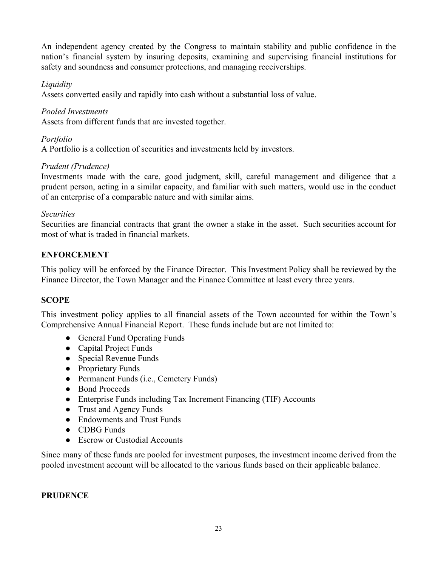An independent agency created by the Congress to maintain stability and public confidence in the nation's financial system by insuring deposits, examining and supervising financial institutions for safety and soundness and consumer protections, and managing receiverships.

### *Liquidity*

Assets converted easily and rapidly into cash without a substantial loss of value.

### *Pooled Investments*

Assets from different funds that are invested together.

### *Portfolio*

A Portfolio is a collection of securities and investments held by investors.

### *Prudent (Prudence)*

Investments made with the care, good judgment, skill, careful management and diligence that a prudent person, acting in a similar capacity, and familiar with such matters, would use in the conduct of an enterprise of a comparable nature and with similar aims.

### *Securities*

Securities are financial contracts that grant the owner a stake in the asset. Such securities account for most of what is traded in financial markets.

### **ENFORCEMENT**

This policy will be enforced by the Finance Director. This Investment Policy shall be reviewed by the Finance Director, the Town Manager and the Finance Committee at least every three years.

### **SCOPE**

This investment policy applies to all financial assets of the Town accounted for within the Town's Comprehensive Annual Financial Report. These funds include but are not limited to:

- General Fund Operating Funds
- Capital Project Funds
- Special Revenue Funds
- Proprietary Funds
- Permanent Funds (i.e., Cemetery Funds)
- Bond Proceeds
- Enterprise Funds including Tax Increment Financing (TIF) Accounts
- Trust and Agency Funds
- Endowments and Trust Funds
- CDBG Funds
- Escrow or Custodial Accounts

Since many of these funds are pooled for investment purposes, the investment income derived from the pooled investment account will be allocated to the various funds based on their applicable balance.

### **PRUDENCE**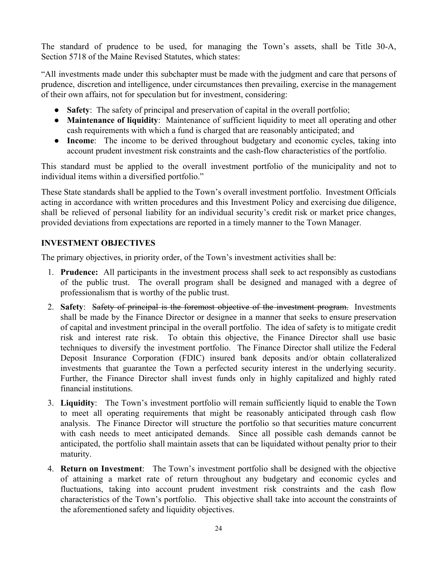The standard of prudence to be used, for managing the Town's assets, shall be Title 30-A, Section 5718 of the Maine Revised Statutes, which states:

"All investments made under this subchapter must be made with the judgment and care that persons of prudence, discretion and intelligence, under circumstances then prevailing, exercise in the management of their own affairs, not for speculation but for investment, considering:

- **Safety**: The safety of principal and preservation of capital in the overall portfolio;
- **Maintenance of liquidity**: Maintenance of sufficient liquidity to meet all operating and other cash requirements with which a fund is charged that are reasonably anticipated; and
- **Income**: The income to be derived throughout budgetary and economic cycles, taking into account prudent investment risk constraints and the cash-flow characteristics of the portfolio.

This standard must be applied to the overall investment portfolio of the municipality and not to individual items within a diversified portfolio."

These State standards shall be applied to the Town's overall investment portfolio. Investment Officials acting in accordance with written procedures and this Investment Policy and exercising due diligence, shall be relieved of personal liability for an individual security's credit risk or market price changes, provided deviations from expectations are reported in a timely manner to the Town Manager.

### **INVESTMENT OBJECTIVES**

The primary objectives, in priority order, of the Town's investment activities shall be:

- 1. **Prudence:** All participants in the investment process shall seek to act responsibly as custodians of the public trust. The overall program shall be designed and managed with a degree of professionalism that is worthy of the public trust.
- 2. **Safety**: Safety of principal is the foremost objective of the investment program. Investments shall be made by the Finance Director or designee in a manner that seeks to ensure preservation of capital and investment principal in the overall portfolio. The idea of safety is to mitigate credit risk and interest rate risk. To obtain this objective, the Finance Director shall use basic techniques to diversify the investment portfolio. The Finance Director shall utilize the Federal Deposit Insurance Corporation (FDIC) insured bank deposits and/or obtain collateralized investments that guarantee the Town a perfected security interest in the underlying security. Further, the Finance Director shall invest funds only in highly capitalized and highly rated financial institutions.
- 3. **Liquidity**: The Town's investment portfolio will remain sufficiently liquid to enable the Town to meet all operating requirements that might be reasonably anticipated through cash flow analysis. The Finance Director will structure the portfolio so that securities mature concurrent with cash needs to meet anticipated demands. Since all possible cash demands cannot be anticipated, the portfolio shall maintain assets that can be liquidated without penalty prior to their maturity.
- 4. **Return on Investment**: The Town's investment portfolio shall be designed with the objective of attaining a market rate of return throughout any budgetary and economic cycles and fluctuations, taking into account prudent investment risk constraints and the cash flow characteristics of the Town's portfolio. This objective shall take into account the constraints of the aforementioned safety and liquidity objectives.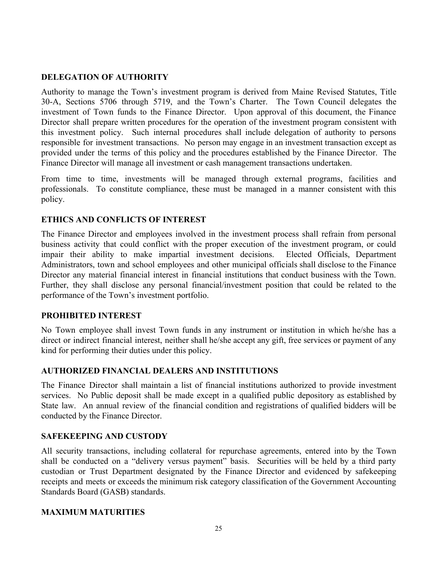### **DELEGATION OF AUTHORITY**

Authority to manage the Town's investment program is derived from Maine Revised Statutes, Title 30-A, Sections 5706 through 5719, and the Town's Charter. The Town Council delegates the investment of Town funds to the Finance Director. Upon approval of this document, the Finance Director shall prepare written procedures for the operation of the investment program consistent with this investment policy. Such internal procedures shall include delegation of authority to persons responsible for investment transactions. No person may engage in an investment transaction except as provided under the terms of this policy and the procedures established by the Finance Director. The Finance Director will manage all investment or cash management transactions undertaken.

From time to time, investments will be managed through external programs, facilities and professionals. To constitute compliance, these must be managed in a manner consistent with this policy.

### **ETHICS AND CONFLICTS OF INTEREST**

The Finance Director and employees involved in the investment process shall refrain from personal business activity that could conflict with the proper execution of the investment program, or could impair their ability to make impartial investment decisions. Elected Officials, Department Administrators, town and school employees and other municipal officials shall disclose to the Finance Director any material financial interest in financial institutions that conduct business with the Town. Further, they shall disclose any personal financial/investment position that could be related to the performance of the Town's investment portfolio.

### **PROHIBITED INTEREST**

No Town employee shall invest Town funds in any instrument or institution in which he/she has a direct or indirect financial interest, neither shall he/she accept any gift, free services or payment of any kind for performing their duties under this policy.

### **AUTHORIZED FINANCIAL DEALERS AND INSTITUTIONS**

The Finance Director shall maintain a list of financial institutions authorized to provide investment services. No Public deposit shall be made except in a qualified public depository as established by State law. An annual review of the financial condition and registrations of qualified bidders will be conducted by the Finance Director.

### **SAFEKEEPING AND CUSTODY**

All security transactions, including collateral for repurchase agreements, entered into by the Town shall be conducted on a "delivery versus payment" basis. Securities will be held by a third party custodian or Trust Department designated by the Finance Director and evidenced by safekeeping receipts and meets or exceeds the minimum risk category classification of the Government Accounting Standards Board (GASB) standards.

### **MAXIMUM MATURITIES**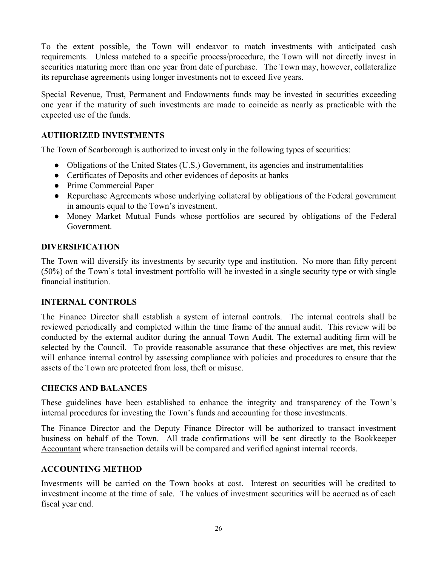To the extent possible, the Town will endeavor to match investments with anticipated cash requirements. Unless matched to a specific process/procedure, the Town will not directly invest in securities maturing more than one year from date of purchase. The Town may, however, collateralize its repurchase agreements using longer investments not to exceed five years.

Special Revenue, Trust, Permanent and Endowments funds may be invested in securities exceeding one year if the maturity of such investments are made to coincide as nearly as practicable with the expected use of the funds.

### **AUTHORIZED INVESTMENTS**

The Town of Scarborough is authorized to invest only in the following types of securities:

- Obligations of the United States (U.S.) Government, its agencies and instrumentalities
- Certificates of Deposits and other evidences of deposits at banks
- Prime Commercial Paper
- Repurchase Agreements whose underlying collateral by obligations of the Federal government in amounts equal to the Town's investment.
- Money Market Mutual Funds whose portfolios are secured by obligations of the Federal Government.

### **DIVERSIFICATION**

The Town will diversify its investments by security type and institution. No more than fifty percent (50%) of the Town's total investment portfolio will be invested in a single security type or with single financial institution.

### **INTERNAL CONTROLS**

The Finance Director shall establish a system of internal controls. The internal controls shall be reviewed periodically and completed within the time frame of the annual audit. This review will be conducted by the external auditor during the annual Town Audit. The external auditing firm will be selected by the Council. To provide reasonable assurance that these objectives are met, this review will enhance internal control by assessing compliance with policies and procedures to ensure that the assets of the Town are protected from loss, theft or misuse.

### **CHECKS AND BALANCES**

These guidelines have been established to enhance the integrity and transparency of the Town's internal procedures for investing the Town's funds and accounting for those investments.

The Finance Director and the Deputy Finance Director will be authorized to transact investment business on behalf of the Town. All trade confirmations will be sent directly to the Bookkeeper Accountant where transaction details will be compared and verified against internal records.

### **ACCOUNTING METHOD**

Investments will be carried on the Town books at cost. Interest on securities will be credited to investment income at the time of sale. The values of investment securities will be accrued as of each fiscal year end.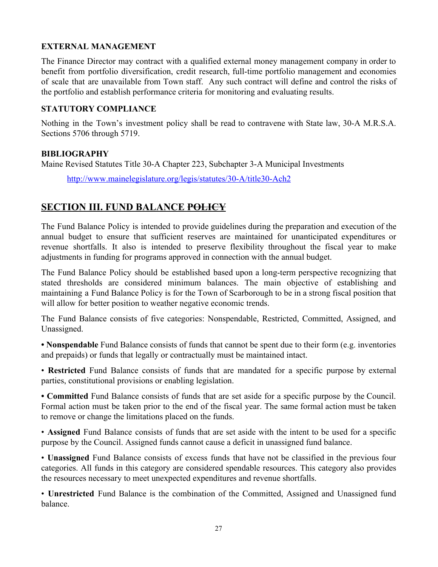### **EXTERNAL MANAGEMENT**

The Finance Director may contract with a qualified external money management company in order to benefit from portfolio diversification, credit research, full-time portfolio management and economies of scale that are unavailable from Town staff. Any such contract will define and control the risks of the portfolio and establish performance criteria for monitoring and evaluating results.

### **STATUTORY COMPLIANCE**

Nothing in the Town's investment policy shall be read to contravene with State law, 30-A M.R.S.A. Sections 5706 through 5719.

### **BIBLIOGRAPHY**

Maine Revised Statutes Title 30-A Chapter 223, Subchapter 3-A Municipal Investments

<http://www.mainelegislature.org/legis/statutes/30-A/title30-Ach2>

### **SECTION III. FUND BALANCE POLICY**

The Fund Balance Policy is intended to provide guidelines during the preparation and execution of the annual budget to ensure that sufficient reserves are maintained for unanticipated expenditures or revenue shortfalls. It also is intended to preserve flexibility throughout the fiscal year to make adjustments in funding for programs approved in connection with the annual budget.

The Fund Balance Policy should be established based upon a long-term perspective recognizing that stated thresholds are considered minimum balances. The main objective of establishing and maintaining a Fund Balance Policy is for the Town of Scarborough to be in a strong fiscal position that will allow for better position to weather negative economic trends.

The Fund Balance consists of five categories: Nonspendable, Restricted, Committed, Assigned, and Unassigned.

**• Nonspendable** Fund Balance consists of funds that cannot be spent due to their form (e.g. inventories and prepaids) or funds that legally or contractually must be maintained intact.

• **Restricted** Fund Balance consists of funds that are mandated for a specific purpose by external parties, constitutional provisions or enabling legislation.

**• Committed** Fund Balance consists of funds that are set aside for a specific purpose by the Council. Formal action must be taken prior to the end of the fiscal year. The same formal action must be taken to remove or change the limitations placed on the funds.

• **Assigned** Fund Balance consists of funds that are set aside with the intent to be used for a specific purpose by the Council. Assigned funds cannot cause a deficit in unassigned fund balance.

• **Unassigned** Fund Balance consists of excess funds that have not be classified in the previous four categories. All funds in this category are considered spendable resources. This category also provides the resources necessary to meet unexpected expenditures and revenue shortfalls.

• **Unrestricted** Fund Balance is the combination of the Committed, Assigned and Unassigned fund balance.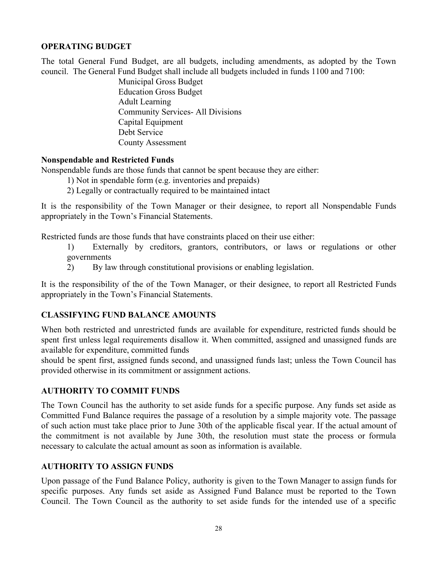### **OPERATING BUDGET**

The total General Fund Budget, are all budgets, including amendments, as adopted by the Town council. The General Fund Budget shall include all budgets included in funds 1100 and 7100:

> Municipal Gross Budget Education Gross Budget Adult Learning Community Services- All Divisions Capital Equipment Debt Service County Assessment

### **Nonspendable and Restricted Funds**

Nonspendable funds are those funds that cannot be spent because they are either:

- 1) Not in spendable form (e.g. inventories and prepaids)
- 2) Legally or contractually required to be maintained intact

It is the responsibility of the Town Manager or their designee, to report all Nonspendable Funds appropriately in the Town's Financial Statements.

Restricted funds are those funds that have constraints placed on their use either:

- 1) Externally by creditors, grantors, contributors, or laws or regulations or other governments
- 2) By law through constitutional provisions or enabling legislation.

It is the responsibility of the of the Town Manager, or their designee, to report all Restricted Funds appropriately in the Town's Financial Statements.

### **CLASSIFYING FUND BALANCE AMOUNTS**

When both restricted and unrestricted funds are available for expenditure, restricted funds should be spent first unless legal requirements disallow it. When committed, assigned and unassigned funds are available for expenditure, committed funds

should be spent first, assigned funds second, and unassigned funds last; unless the Town Council has provided otherwise in its commitment or assignment actions.

### **AUTHORITY TO COMMIT FUNDS**

The Town Council has the authority to set aside funds for a specific purpose. Any funds set aside as Committed Fund Balance requires the passage of a resolution by a simple majority vote. The passage of such action must take place prior to June 30th of the applicable fiscal year. If the actual amount of the commitment is not available by June 30th, the resolution must state the process or formula necessary to calculate the actual amount as soon as information is available.

### **AUTHORITY TO ASSIGN FUNDS**

Upon passage of the Fund Balance Policy, authority is given to the Town Manager to assign funds for specific purposes. Any funds set aside as Assigned Fund Balance must be reported to the Town Council. The Town Council as the authority to set aside funds for the intended use of a specific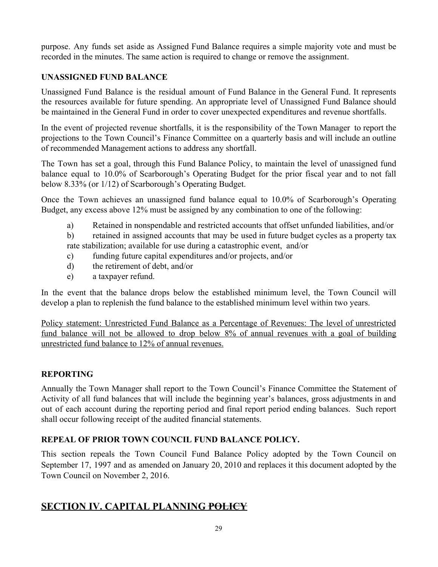purpose. Any funds set aside as Assigned Fund Balance requires a simple majority vote and must be recorded in the minutes. The same action is required to change or remove the assignment.

### **UNASSIGNED FUND BALANCE**

Unassigned Fund Balance is the residual amount of Fund Balance in the General Fund. It represents the resources available for future spending. An appropriate level of Unassigned Fund Balance should be maintained in the General Fund in order to cover unexpected expenditures and revenue shortfalls.

In the event of projected revenue shortfalls, it is the responsibility of the Town Manager to report the projections to the Town Council's Finance Committee on a quarterly basis and will include an outline of recommended Management actions to address any shortfall.

The Town has set a goal, through this Fund Balance Policy, to maintain the level of unassigned fund balance equal to 10.0% of Scarborough's Operating Budget for the prior fiscal year and to not fall below 8.33% (or 1/12) of Scarborough's Operating Budget.

Once the Town achieves an unassigned fund balance equal to 10.0% of Scarborough's Operating Budget, any excess above 12% must be assigned by any combination to one of the following:

a) Retained in nonspendable and restricted accounts that offset unfunded liabilities, and/or

b) retained in assigned accounts that may be used in future budget cycles as a property tax rate stabilization; available for use during a catastrophic event, and/or

- c) funding future capital expenditures and/or projects, and/or
- d) the retirement of debt, and/or
- e) a taxpayer refund.

In the event that the balance drops below the established minimum level, the Town Council will develop a plan to replenish the fund balance to the established minimum level within two years.

Policy statement: Unrestricted Fund Balance as a Percentage of Revenues: The level of unrestricted fund balance will not be allowed to drop below 8% of annual revenues with a goal of building unrestricted fund balance to 12% of annual revenues.

### **REPORTING**

Annually the Town Manager shall report to the Town Council's Finance Committee the Statement of Activity of all fund balances that will include the beginning year's balances, gross adjustments in and out of each account during the reporting period and final report period ending balances. Such report shall occur following receipt of the audited financial statements.

### **REPEAL OF PRIOR TOWN COUNCIL FUND BALANCE POLICY.**

This section repeals the Town Council Fund Balance Policy adopted by the Town Council on September 17, 1997 and as amended on January 20, 2010 and replaces it this document adopted by the Town Council on November 2, 2016.

### **SECTION IV. CAPITAL PLANNING POLICY**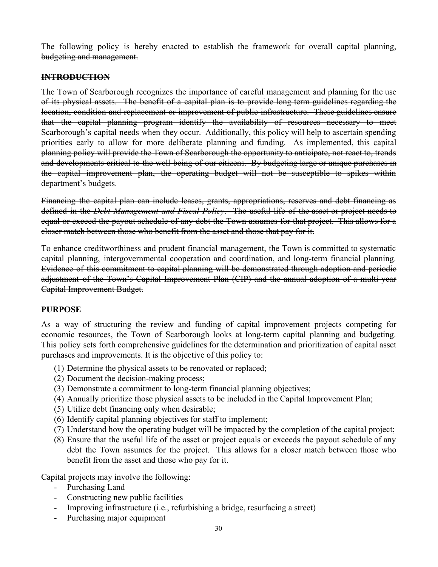The following policy is hereby enacted to establish the framework for overall capital planning, budgeting and management.

### **INTRODUCTION**

The Town of Scarborough recognizes the importance of careful management and planning for the use of its physical assets. The benefit of a capital plan is to provide long term guidelines regarding the location, condition and replacement or improvement of public infrastructure. These guidelines ensure that the capital planning program identify the availability of resources necessary to meet Scarborough's capital needs when they occur. Additionally, this policy will help to ascertain spending priorities early to allow for more deliberate planning and funding. As implemented, this capital planning policy will provide the Town of Scarborough the opportunity to anticipate, not react to, trends and developments critical to the well-being of our citizens. By budgeting large or unique purchases in the capital improvement plan, the operating budget will not be susceptible to spikes within department's budgets.

Financing the capital plan can include leases, grants, appropriations, reserves and debt financing as defined in the *Debt Management and Fiscal Policy*. The useful life of the asset or project needs to equal or exceed the payout schedule of any debt the Town assumes for that project. This allows for a closer match between those who benefit from the asset and those that pay for it.

To enhance creditworthiness and prudent financial management, the Town is committed to systematic capital planning, intergovernmental cooperation and coordination, and long-term financial planning. Evidence of this commitment to capital planning will be demonstrated through adoption and periodic adjustment of the Town's Capital Improvement Plan (CIP) and the annual adoption of a multi-year Capital Improvement Budget.

### **PURPOSE**

As a way of structuring the review and funding of capital improvement projects competing for economic resources, the Town of Scarborough looks at long-term capital planning and budgeting. This policy sets forth comprehensive guidelines for the determination and prioritization of capital asset purchases and improvements. It is the objective of this policy to:

- (1) Determine the physical assets to be renovated or replaced;
- (2) Document the decision-making process;
- (3) Demonstrate a commitment to long-term financial planning objectives;
- (4) Annually prioritize those physical assets to be included in the Capital Improvement Plan;
- (5) Utilize debt financing only when desirable;
- (6) Identify capital planning objectives for staff to implement;
- (7) Understand how the operating budget will be impacted by the completion of the capital project;
- (8) Ensure that the useful life of the asset or project equals or exceeds the payout schedule of any debt the Town assumes for the project. This allows for a closer match between those who benefit from the asset and those who pay for it.

Capital projects may involve the following:

- Purchasing Land
- Constructing new public facilities
- Improving infrastructure (i.e., refurbishing a bridge, resurfacing a street)
- Purchasing major equipment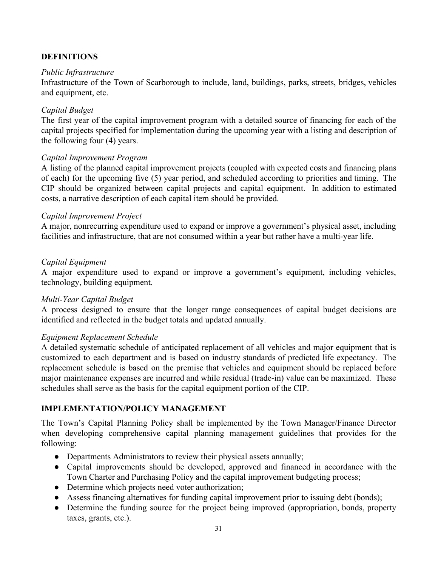### **DEFINITIONS**

### *Public Infrastructure*

Infrastructure of the Town of Scarborough to include, land, buildings, parks, streets, bridges, vehicles and equipment, etc.

### *Capital Budget*

The first year of the capital improvement program with a detailed source of financing for each of the capital projects specified for implementation during the upcoming year with a listing and description of the following four (4) years.

### *Capital Improvement Program*

A listing of the planned capital improvement projects (coupled with expected costs and financing plans of each) for the upcoming five (5) year period, and scheduled according to priorities and timing. The CIP should be organized between capital projects and capital equipment. In addition to estimated costs, a narrative description of each capital item should be provided.

### *Capital Improvement Project*

A major, nonrecurring expenditure used to expand or improve a government's physical asset, including facilities and infrastructure, that are not consumed within a year but rather have a multi-year life.

### *Capital Equipment*

A major expenditure used to expand or improve a government's equipment, including vehicles, technology, building equipment.

### *Multi-Year Capital Budget*

A process designed to ensure that the longer range consequences of capital budget decisions are identified and reflected in the budget totals and updated annually.

### *Equipment Replacement Schedule*

A detailed systematic schedule of anticipated replacement of all vehicles and major equipment that is customized to each department and is based on industry standards of predicted life expectancy. The replacement schedule is based on the premise that vehicles and equipment should be replaced before major maintenance expenses are incurred and while residual (trade-in) value can be maximized. These schedules shall serve as the basis for the capital equipment portion of the CIP.

### **IMPLEMENTATION/POLICY MANAGEMENT**

The Town's Capital Planning Policy shall be implemented by the Town Manager/Finance Director when developing comprehensive capital planning management guidelines that provides for the following:

- Departments Administrators to review their physical assets annually;
- Capital improvements should be developed, approved and financed in accordance with the Town Charter and Purchasing Policy and the capital improvement budgeting process;
- Determine which projects need voter authorization;
- Assess financing alternatives for funding capital improvement prior to issuing debt (bonds);
- Determine the funding source for the project being improved (appropriation, bonds, property taxes, grants, etc.).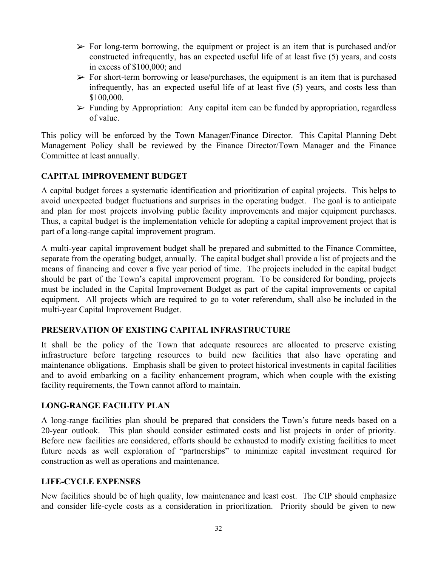- $\triangleright$  For long-term borrowing, the equipment or project is an item that is purchased and/or constructed infrequently, has an expected useful life of at least five (5) years, and costs in excess of \$100,000; and
- $\triangleright$  For short-term borrowing or lease/purchases, the equipment is an item that is purchased infrequently, has an expected useful life of at least five (5) years, and costs less than \$100,000.
- $\triangleright$  Funding by Appropriation: Any capital item can be funded by appropriation, regardless of value.

This policy will be enforced by the Town Manager/Finance Director. This Capital Planning Debt Management Policy shall be reviewed by the Finance Director/Town Manager and the Finance Committee at least annually.

### **CAPITAL IMPROVEMENT BUDGET**

A capital budget forces a systematic identification and prioritization of capital projects. This helps to avoid unexpected budget fluctuations and surprises in the operating budget. The goal is to anticipate and plan for most projects involving public facility improvements and major equipment purchases. Thus, a capital budget is the implementation vehicle for adopting a capital improvement project that is part of a long-range capital improvement program.

A multi-year capital improvement budget shall be prepared and submitted to the Finance Committee, separate from the operating budget, annually. The capital budget shall provide a list of projects and the means of financing and cover a five year period of time. The projects included in the capital budget should be part of the Town's capital improvement program. To be considered for bonding, projects must be included in the Capital Improvement Budget as part of the capital improvements or capital equipment. All projects which are required to go to voter referendum, shall also be included in the multi-year Capital Improvement Budget.

### **PRESERVATION OF EXISTING CAPITAL INFRASTRUCTURE**

It shall be the policy of the Town that adequate resources are allocated to preserve existing infrastructure before targeting resources to build new facilities that also have operating and maintenance obligations. Emphasis shall be given to protect historical investments in capital facilities and to avoid embarking on a facility enhancement program, which when couple with the existing facility requirements, the Town cannot afford to maintain.

### **LONG-RANGE FACILITY PLAN**

A long-range facilities plan should be prepared that considers the Town's future needs based on a 20-year outlook. This plan should consider estimated costs and list projects in order of priority. Before new facilities are considered, efforts should be exhausted to modify existing facilities to meet future needs as well exploration of "partnerships" to minimize capital investment required for construction as well as operations and maintenance.

### **LIFE-CYCLE EXPENSES**

New facilities should be of high quality, low maintenance and least cost. The CIP should emphasize and consider life-cycle costs as a consideration in prioritization. Priority should be given to new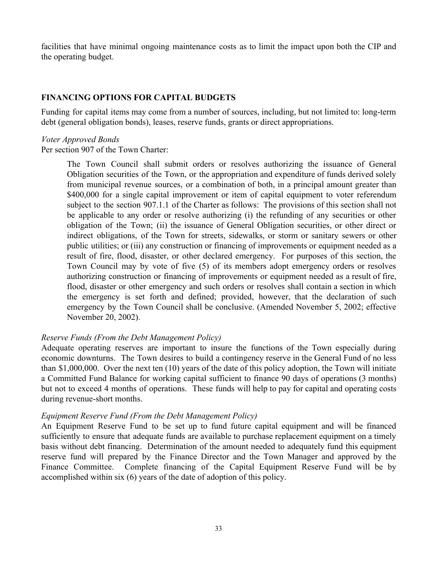facilities that have minimal ongoing maintenance costs as to limit the impact upon both the CIP and the operating budget.

### **FINANCING OPTIONS FOR CAPITAL BUDGETS**

Funding for capital items may come from a number of sources, including, but not limited to: long-term debt (general obligation bonds), leases, reserve funds, grants or direct appropriations.

### *Voter Approved Bonds*

Per section 907 of the Town Charter:

The Town Council shall submit orders or resolves authorizing the issuance of General Obligation securities of the Town, or the appropriation and expenditure of funds derived solely from municipal revenue sources, or a combination of both, in a principal amount greater than \$400,000 for a single capital improvement or item of capital equipment to voter referendum subject to the section 907.1.1 of the Charter as follows: The provisions of this section shall not be applicable to any order or resolve authorizing (i) the refunding of any securities or other obligation of the Town; (ii) the issuance of General Obligation securities, or other direct or indirect obligations, of the Town for streets, sidewalks, or storm or sanitary sewers or other public utilities; or (iii) any construction or financing of improvements or equipment needed as a result of fire, flood, disaster, or other declared emergency. For purposes of this section, the Town Council may by vote of five (5) of its members adopt emergency orders or resolves authorizing construction or financing of improvements or equipment needed as a result of fire, flood, disaster or other emergency and such orders or resolves shall contain a section in which the emergency is set forth and defined; provided, however, that the declaration of such emergency by the Town Council shall be conclusive. (Amended November 5, 2002; effective November 20, 2002).

### *Reserve Funds (From the Debt Management Policy)*

Adequate operating reserves are important to insure the functions of the Town especially during economic downturns. The Town desires to build a contingency reserve in the General Fund of no less than \$1,000,000. Over the next ten (10) years of the date of this policy adoption, the Town will initiate a Committed Fund Balance for working capital sufficient to finance 90 days of operations (3 months) but not to exceed 4 months of operations. These funds will help to pay for capital and operating costs during revenue-short months.

### *Equipment Reserve Fund (From the Debt Management Policy)*

An Equipment Reserve Fund to be set up to fund future capital equipment and will be financed sufficiently to ensure that adequate funds are available to purchase replacement equipment on a timely basis without debt financing. Determination of the amount needed to adequately fund this equipment reserve fund will prepared by the Finance Director and the Town Manager and approved by the Finance Committee. Complete financing of the Capital Equipment Reserve Fund will be by accomplished within six (6) years of the date of adoption of this policy.